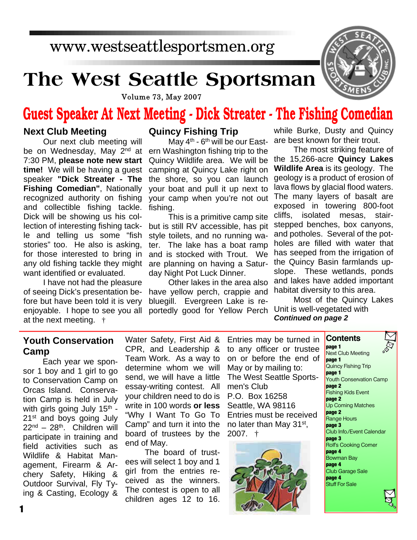## www.westseattlesportsmen.org

# **The West Seattle Sportsman**



**Volume 73, May 2007** 

# **Guest Speaker At Next Meeting - Dick Streater - The Fishing Comedian**

#### **Next Club Meeting**

Our next club meeting will be on Wednesday, May 2<sup>nd</sup> at 7:30 PM, **please note new start time!** We will be having a guest speaker **"Dick Streater - The Fishing Comedian"**, Nationally recognized authority on fishing and collectible fishing tackle. Dick will be showing us his collection of interesting fishing tackle and telling us some "fish stories" too. He also is asking, for those interested to bring in any old fishing tackle they might want identified or evaluated.

I have not had the pleasure of seeing Dick's presentation before but have been told it is very enjoyable. I hope to see you all at the next meeting. †

#### **Quincy Fishing Trip**

May 4<sup>th</sup> - 6<sup>th</sup> will be our Eastern Washington fishing trip to the Quincy Wildlife area. We will be camping at Quincy Lake right on the shore, so you can launch your boat and pull it up next to your camp when you're not out fishing.

This is a primitive camp site but is still RV accessible, has pit style toilets, and no running water. The lake has a boat ramp and is stocked with Trout. We are planning on having a Saturday Night Pot Luck Dinner.

Other lakes in the area also have yellow perch, crappie and bluegill. Evergreen Lake is reportedly good for Yellow Perch

while Burke, Dusty and Quincy are best known for their trout.

The most striking feature of the 15,266-acre **Quincy Lakes Wildlife Area** is its geology. The geology is a product of erosion of lava flows by glacial flood waters. The many layers of basalt are exposed in towering 800-foot cliffs, isolated mesas, stairstepped benches, box canyons, and potholes. Several of the potholes are filled with water that has seeped from the irrigation of the Quincy Basin farmlands upslope. These wetlands, ponds and lakes have added important habitat diversity to this area.

Most of the Quincy Lakes Unit is well-vegetated with *Continued on page 2*

#### **Youth Conservation Camp**

Each year we sponsor 1 boy and 1 girl to go to Conservation Camp on Orcas Island. Conservation Camp is held in July with girls going July 15<sup>th</sup> -21st and boys going July 22nd – 28th. Children will participate in training and field activities such as Wildlife & Habitat Management, Firearm & Archery Safety, Hiking & Outdoor Survival, Fly Tying & Casting, Ecology & Water Safety, First Aid & CPR, and Leadership & Team Work. As a way to determine whom we will send, we will have a little essay-writing contest. All your children need to do is write in 100 words **or less** "Why I Want To Go To Camp" and turn it into the board of trustees by the end of May.

The board of trustees will select 1 boy and 1 girl from the entries received as the winners. The contest is open to all children ages 12 to 16. Entries may be turned in to any officer or trustee on or before the end of May or by mailing to: The West Seattle Sportsmen's Club P.O. Box 16258 Seattle, WA 98116 Entries must be received no later than May 31st, 2007. †



**Contents page 1** Next Club Meeting **page 1** Quincy Fishing Trip **page 1** Youth Conservation Camp **page 2** Fishing Kids Event **page 2** Up Coming Matches **page 2** Range Hours **page 3** Club Info./Event Calendar **page 3** Rolf's Cooking Corner **page 4** Bowman Bay **page 4** Club Garage Sale **page 4** Stuff For Sale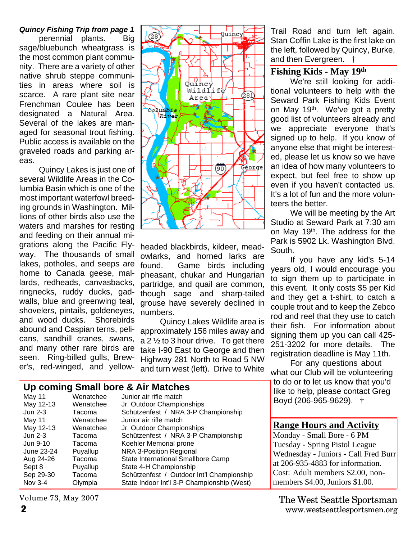*Quincy Fishing Trip from page 1* perennial plants. Big sage/bluebunch wheatgrass is the most common plant community. There are a variety of other native shrub steppe communities in areas where soil is scarce. A rare plant site near Frenchman Coulee has been designated a Natural Area. Several of the lakes are managed for seasonal trout fishing. Public access is available on the graveled roads and parking areas.

Quincy Lakes is just one of several Wildlife Areas in the Columbia Basin which is one of the most important waterfowl breeding grounds in Washington. Millions of other birds also use the waters and marshes for resting and feeding on their annual migrations along the Pacific Flyway. The thousands of small lakes, potholes, and seeps are home to Canada geese, mallards, redheads, canvasbacks, ringnecks, ruddy ducks, gadwalls, blue and greenwing teal, shovelers, pintails, goldeneyes, and wood ducks. Shorebirds abound and Caspian terns, pelicans, sandhill cranes, swans, and many other rare birds are seen. Ring-billed gulls, Brewer's, red-winged, and yellow-



headed blackbirds, kildeer, meadowlarks, and horned larks are found. Game birds including pheasant, chukar and Hungarian partridge, and quail are common, though sage and sharp-tailed grouse have severely declined in numbers.

Quincy Lakes Wildlife area is approximately 156 miles away and a 2  $\frac{1}{2}$  to 3 hour drive. To get there take I-90 East to George and then Highway 281 North to Road 5 NW and turn west (left). Drive to White

#### **Up coming Small bore & Air Matches**

| May 11     | Wenatchee | Junior air rifle match                     |
|------------|-----------|--------------------------------------------|
| May 12-13  | Wenatchee | Jr. Outdoor Championships                  |
| Jun 2-3    | Tacoma    | Schützenfest / NRA 3-P Championship        |
| May 11     | Wenatchee | Junior air rifle match                     |
| May 12-13  | Wenatchee | Jr. Outdoor Championships                  |
| Jun 2-3    | Tacoma    | Schützenfest / NRA 3-P Championship        |
| Jun 9-10   | Tacoma    | Koehler Memorial prone                     |
| June 23-24 | Puyallup  | NRA 3-Position Regional                    |
| Aug 24-26  | Tacoma    | State International Smallbore Camp         |
| Sept 8     | Puyallup  | State 4-H Championship                     |
| Sep 29-30  | Tacoma    | Schützenfest / Outdoor Int'l Championship  |
| Nov 3-4    | Olympia   | State Indoor Int'l 3-P Championship (West) |

Volume 73, May 2007

#### **2** www.westseattlesportsmen.org The West Seattle Sportsman

Trail Road and turn left again. Stan Coffin Lake is the first lake on the left, followed by Quincy, Burke, and then Evergreen. †

#### **Fishing Kids - May 19th**

We're still looking for additional volunteers to help with the Seward Park Fishing Kids Event on May 19<sup>th</sup>. We've got a pretty good list of volunteers already and we appreciate everyone that's signed up to help. If you know of anyone else that might be interested, please let us know so we have an idea of how many volunteers to expect, but feel free to show up even if you haven't contacted us. It's a lot of fun and the more volunteers the better.

We will be meeting by the Art Studio at Seward Park at 7:30 am on May 19<sup>th</sup>. The address for the Park is 5902 Lk. Washington Blvd. South.

If you have any kid's 5-14 years old, I would encourage you to sign them up to participate in this event. It only costs \$5 per Kid and they get a t-shirt, to catch a couple trout and to keep the Zebco rod and reel that they use to catch their fish. For information about signing them up you can call 425- 251-3202 for more details. The registration deadline is May 11th.

For any questions about what our Club will be volunteering to do or to let us know that you'd like to help, please contact Greg

Boyd (206-965-9629). †

#### **Range Hours and Activity**

Monday - Small Bore - 6 PM Tuesday - Spring Pistol League Wednesday - Juniors - Call Fred Burr at 206-935-4883 for information. Cost: Adult members \$2.00, nonmembers \$4.00, Juniors \$1.00.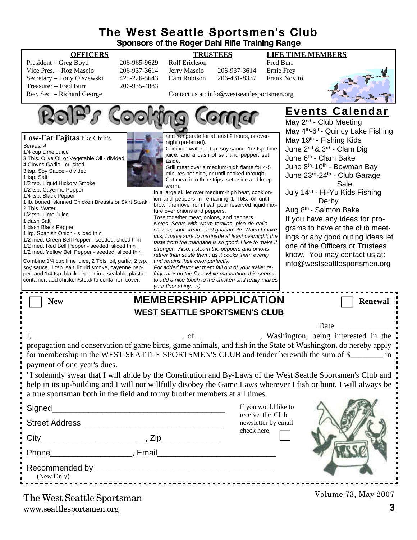#### **The West Seattle Sportsmen's Club Sponsors of the Roger Dahl Rifle Training Range**

| President – Greg Boyd      | 206-965-9629 |
|----------------------------|--------------|
| Vice Pres. - Roz Mascio    | 206-937-3614 |
| Secretary – Tony Olszewski | 425-226-5643 |
| Treasurer – Fred Burr      | 206-935-4883 |
| Rec. Sec. – Richard George |              |

#### 06-965-9629 Rolf Erickson – Fred Burr<br>196-937-3614 Jerry Mascio – 206-937-3614 – Ernie Frev 206-937-3614 Jerry Mascio 206-937-3614 125-226-5643 Cam Robison 206-431-8337 Frank Novito

**OFFICERS TRUSTEES LIFE TIME MEMBERS**



Contact us at: info@westseattlesportsmen.org



www.seattlesportsmen.org **3** The West Seattle Sportsman